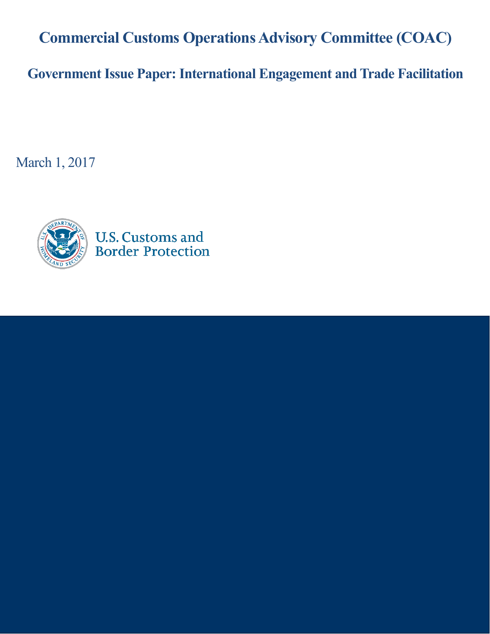**Commercial Customs Operations Advisory Committee (COAC)**

**Government Issue Paper: International Engagement and Trade Facilitation**

March 1, 2017

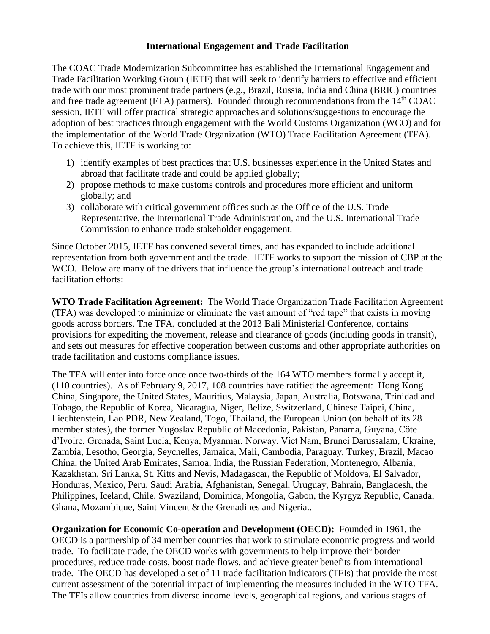## **International Engagement and Trade Facilitation**

The COAC Trade Modernization Subcommittee has established the International Engagement and Trade Facilitation Working Group (IETF) that will seek to identify barriers to effective and efficient trade with our most prominent trade partners (e.g., Brazil, Russia, India and China (BRIC) countries and free trade agreement (FTA) partners). Founded through recommendations from the  $14<sup>th</sup> COAC$ session, IETF will offer practical strategic approaches and solutions/suggestions to encourage the adoption of best practices through engagement with the World Customs Organization (WCO) and for the implementation of the World Trade Organization (WTO) Trade Facilitation Agreement (TFA). To achieve this, IETF is working to:

- 1) identify examples of best practices that U.S. businesses experience in the United States and abroad that facilitate trade and could be applied globally;
- 2) propose methods to make customs controls and procedures more efficient and uniform globally; and
- 3) collaborate with critical government offices such as the Office of the U.S. Trade Representative, the International Trade Administration, and the U.S. International Trade Commission to enhance trade stakeholder engagement.

Since October 2015, IETF has convened several times, and has expanded to include additional representation from both government and the trade. IETF works to support the mission of CBP at the WCO. Below are many of the drivers that influence the group's international outreach and trade facilitation efforts:

**WTO Trade Facilitation Agreement:** The World Trade Organization Trade Facilitation Agreement (TFA) was developed to minimize or eliminate the vast amount of "red tape" that exists in moving goods across borders. The TFA, concluded at the 2013 Bali Ministerial Conference, contains provisions for expediting the movement, release and clearance of goods (including goods in transit), and sets out measures for effective cooperation between customs and other appropriate authorities on trade facilitation and customs compliance issues.

The TFA will enter into force once once two-thirds of the 164 WTO members formally accept it, (110 countries). As of February 9, 2017, 108 countries have ratified the agreement: Hong Kong China, Singapore, the United States, Mauritius, Malaysia, Japan, Australia, Botswana, Trinidad and Tobago, the Republic of Korea, Nicaragua, Niger, Belize, Switzerland, Chinese Taipei, China, Liechtenstein, Lao PDR, New Zealand, Togo, Thailand, the European Union (on behalf of its 28 member states), the former Yugoslav Republic of Macedonia, Pakistan, Panama, Guyana, Côte d'Ivoire, Grenada, Saint Lucia, Kenya, Myanmar, Norway, Viet Nam, Brunei Darussalam, Ukraine, Zambia, Lesotho, Georgia, Seychelles, Jamaica, Mali, Cambodia, Paraguay, Turkey, Brazil, Macao China, the United Arab Emirates, Samoa, India, the Russian Federation, Montenegro, Albania, Kazakhstan, Sri Lanka, St. Kitts and Nevis, Madagascar, the Republic of Moldova, El Salvador, Honduras, Mexico, Peru, Saudi Arabia, Afghanistan, Senegal, Uruguay, Bahrain, Bangladesh, the Philippines, Iceland, Chile, Swaziland, Dominica, Mongolia, Gabon, the Kyrgyz Republic, Canada, Ghana, Mozambique, Saint Vincent & the Grenadines and Nigeria..

**Organization for Economic Co-operation and Development (OECD):** Founded in 1961, the OECD is a partnership of 34 member countries that work to stimulate economic progress and world trade. To facilitate trade, the OECD works with governments to help improve their border procedures, reduce trade costs, boost trade flows, and achieve greater benefits from international trade. The OECD has developed a set of 11 trade facilitation indicators (TFIs) that provide the most current assessment of the potential impact of implementing the measures included in the WTO TFA. The TFIs allow countries from diverse income levels, geographical regions, and various stages of